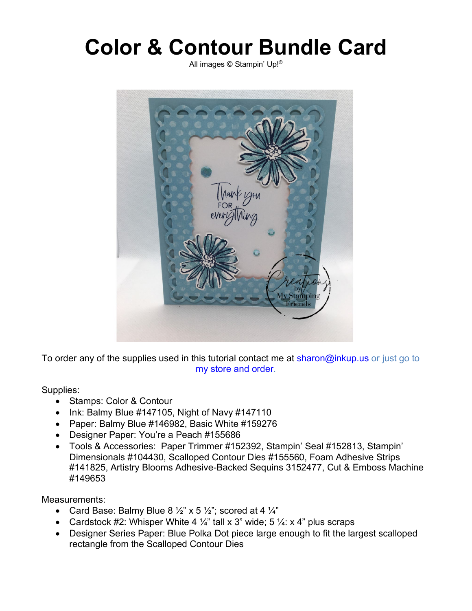## **Color & Contour Bundle Card**

All images © Stampin' Up!®



To order any of the supplies used in this tutorial contact me at sharon@inkup.us or just go to my store and order.

Supplies:

- Stamps: Color & Contour
- Ink: Balmy Blue #147105, Night of Navy #147110
- Paper: Balmy Blue #146982, Basic White #159276
- Designer Paper: You're a Peach #155686
- Tools & Accessories: Paper Trimmer #152392, Stampin' Seal #152813, Stampin' Dimensionals #104430, Scalloped Contour Dies #155560, Foam Adhesive Strips #141825, Artistry Blooms Adhesive-Backed Sequins 3152477, Cut & Emboss Machine #149653

Measurements:

- Card Base: Balmy Blue  $8\frac{1}{2}$ " x 5  $\frac{1}{2}$ "; scored at 4  $\frac{1}{4}$ "
- Cardstock #2: Whisper White 4  $\frac{1}{4}$ " tall x 3" wide; 5  $\frac{1}{4}$ : x 4" plus scraps
- Designer Series Paper: Blue Polka Dot piece large enough to fit the largest scalloped rectangle from the Scalloped Contour Dies